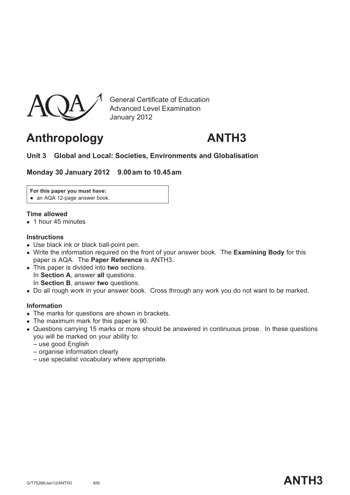

General Certificate of Education Advanced Level Examination January 2012

# **Anthropology ANTH3**

### **Unit 3 Global and Local: Societies, Environments and Globalisation**

**Monday 30 January 2012 9.00 am to 10.45 am**

**For this paper you must have:**

• an AQA 12-page answer book.

#### **Time allowed**

• 1 hour 45 minutes

#### **Instructions**

- Use black ink or black ball-point pen.
- Write the information required on the front of your answer book. The **Examining Body** for this paper is AQA. The **Paper Reference** is ANTH3.
- This paper is divided into **two** sections. In **Section A**, answer **all** questions. In **Section B**, answer **two** questions.
- Do all rough work in your answer book. Cross through any work you do not want to be marked.

#### **Information**

- The marks for questions are shown in brackets.
- The maximum mark for this paper is 90.
- Questions carrying 15 marks or more should be answered in continuous prose. In these questions you will be marked on your ability to:
	- use good English
	- organise information clearly
	- use specialist vocabulary where appropriate.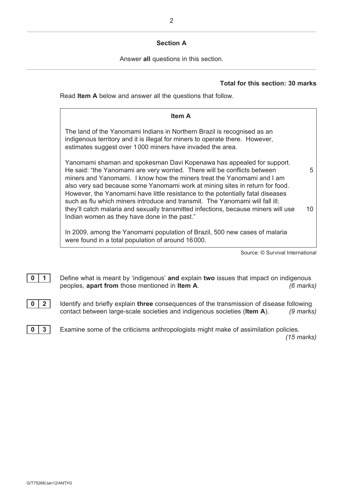#### **Section A**

Answer **all** questions in this section.

#### **Total for this section: 30 marks**

Read **Item A** below and answer all the questions that follow.

| <b>Item A</b>                                                                                                                                                                                                                                                                                                                                                                                                                                                                 |    |
|-------------------------------------------------------------------------------------------------------------------------------------------------------------------------------------------------------------------------------------------------------------------------------------------------------------------------------------------------------------------------------------------------------------------------------------------------------------------------------|----|
| The land of the Yanomami Indians in Northern Brazil is recognised as an<br>indigenous territory and it is illegal for miners to operate there. However,<br>estimates suggest over 1000 miners have invaded the area.                                                                                                                                                                                                                                                          |    |
| Yanomami shaman and spokesman Davi Kopenawa has appealed for support.<br>He said: "the Yanomami are very worried. There will be conflicts between<br>miners and Yanomami. I know how the miners treat the Yanomami and I am<br>also very sad because some Yanomami work at mining sites in return for food.<br>However, the Yanomami have little resistance to the potentially fatal diseases<br>such as flu which miners introduce and transmit. The Yanomami will fall ill; | 5  |
| they'll catch malaria and sexually transmitted infections, because miners will use<br>Indian women as they have done in the past."                                                                                                                                                                                                                                                                                                                                            | 10 |
| In 2009, among the Yanomami population of Brazil, 500 new cases of malaria<br>were found in a total population of around 16000.                                                                                                                                                                                                                                                                                                                                               |    |

Source: © Survival International

- **0** | 1 | Define what is meant by 'indigenous' and explain two issues that impact on indigenous peoples, **apart from** those mentioned in **Item A**. *(6 marks)*
- **0 2** Identify and briefly explain **three** consequences of the transmission of disease following contact between large-scale societies and indigenous societies (**Item A**). *(9 marks)*

**0** 3 Examine some of the criticisms anthropologists might make of assimilation policies. *(15 marks)*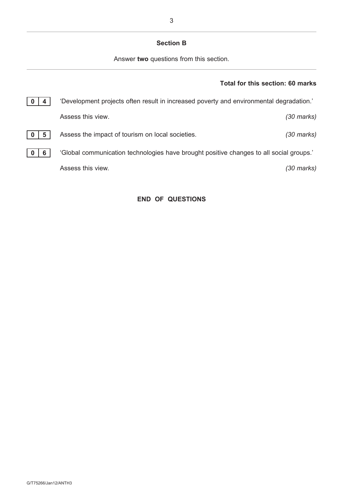#### **Section B**

Answer **two** questions from this section.

## **Total for this section: 60 marks**

|   | 'Development projects often result in increased poverty and environmental degradation.' |                      |
|---|-----------------------------------------------------------------------------------------|----------------------|
|   | Assess this view.                                                                       | $(30 \text{ marks})$ |
| 5 | Assess the impact of tourism on local societies.                                        | (30 marks)           |
| 6 | 'Global communication technologies have brought positive changes to all social groups.' |                      |
|   | Assess this view.                                                                       | (30 marks)           |
|   |                                                                                         |                      |

#### **END OF QUESTIONS**